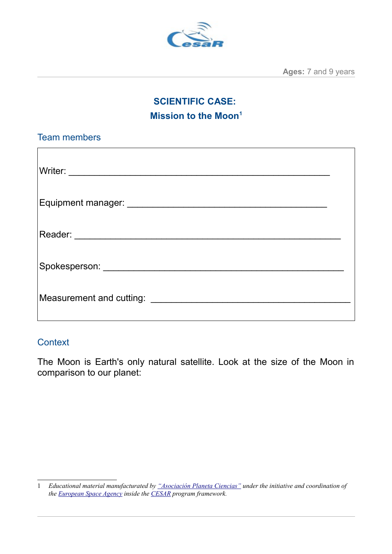

**Ages:** 7 and 9 years

# **SCIENTIFIC CASE: Mission to the Moon[1](#page-0-0)**

| <b>Team members</b> |  |
|---------------------|--|
|                     |  |
|                     |  |
|                     |  |
|                     |  |
|                     |  |
|                     |  |
|                     |  |
|                     |  |
|                     |  |
|                     |  |
|                     |  |
|                     |  |

### **Context**

The Moon is Earth's only natural satellite. Look at the size of the Moon in comparison to our planet:

<span id="page-0-0"></span><sup>1</sup> *Educational material manufacturated by ["Asociación Planeta Ciencias"](http://planetaciencias.es/) under the initiative and coordination of the [European Space Agency](https://www.esa.int/) inside the [CESAR](http://cesar.esa.int/) program framework.*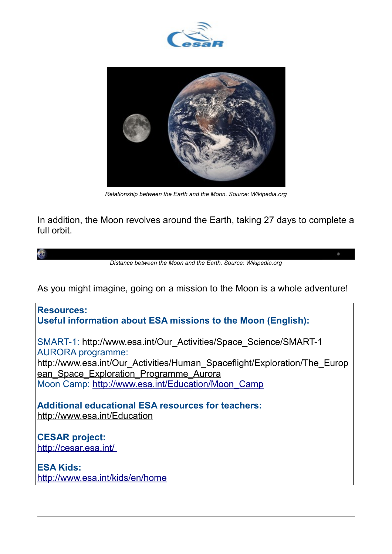



*Relationship between the Earth and the Moon. Source: Wikipedia.org*

In addition, the Moon revolves around the Earth, taking 27 days to complete a full orbit.

鲣

*Distance between the Moon and the Earth. Source: Wikipedia.org*

 $\mathfrak{S}^{\mathfrak{p}}_{\mathfrak{p}}$ 

As you might imagine, going on a mission to the Moon is a whole adventure!

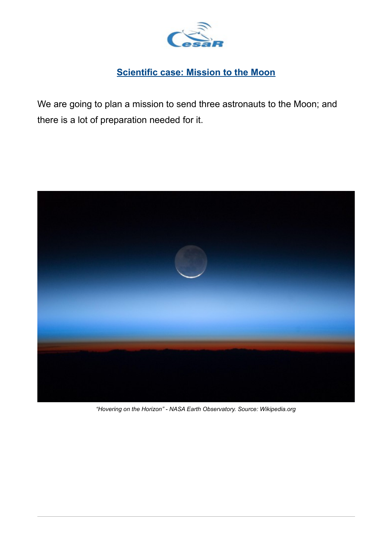

## **Scientific case: Mission to the Moon**

We are going to plan a mission to send three astronauts to the Moon; and there is a lot of preparation needed for it.



*"Hovering on the Horizon" - NASA Earth Observatory. Source: Wikipedia.org*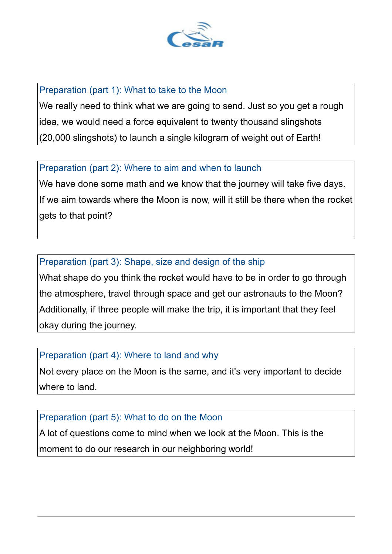

#### Preparation (part 1): What to take to the Moon

We really need to think what we are going to send. Just so you get a rough idea, we would need a force equivalent to twenty thousand slingshots (20,000 slingshots) to launch a single kilogram of weight out of Earth!

#### Preparation (part 2): Where to aim and when to launch

We have done some math and we know that the journey will take five days. If we aim towards where the Moon is now, will it still be there when the rocket gets to that point?

## Preparation (part 3): Shape, size and design of the ship

What shape do you think the rocket would have to be in order to go through the atmosphere, travel through space and get our astronauts to the Moon? Additionally, if three people will make the trip, it is important that they feel okay during the journey.

## Preparation (part 4): Where to land and why

Not every place on the Moon is the same, and it's very important to decide where to land.

#### Preparation (part 5): What to do on the Moon

A lot of questions come to mind when we look at the Moon. This is the moment to do our research in our neighboring world!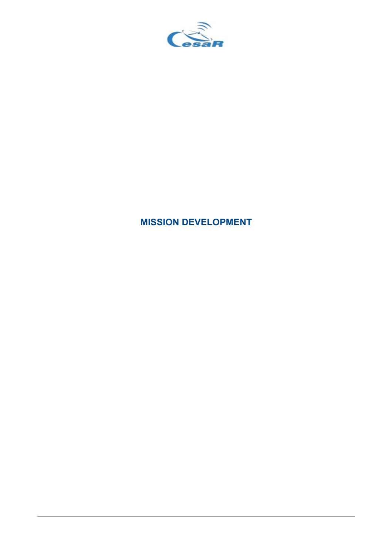

# **MISSION DEVELOPMENT**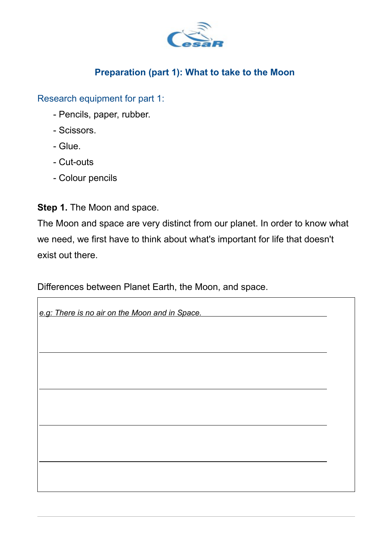

## **Preparation (part 1): What to take to the Moon**

Research equipment for part 1:

- Pencils, paper, rubber.
- Scissors.
- Glue.
- Cut-outs
- Colour pencils

**Step 1.** The Moon and space.

The Moon and space are very distinct from our planet. In order to know what we need, we first have to think about what's important for life that doesn't exist out there.

Differences between Planet Earth, the Moon, and space.

| e.g: There is no air on the Moon and in Space. |  |
|------------------------------------------------|--|
|                                                |  |
|                                                |  |
|                                                |  |
|                                                |  |
|                                                |  |
|                                                |  |
|                                                |  |
|                                                |  |
|                                                |  |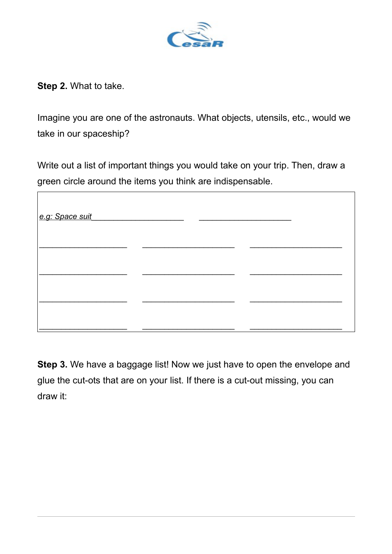

**Step 2.** What to take.

 $\sqrt{ }$ 

Imagine you are one of the astronauts. What objects, utensils, etc., would we take in our spaceship?

Write out a list of important things you would take on your trip. Then, draw a green circle around the items you think are indispensable.

| e.g: Space suit |  |
|-----------------|--|
|                 |  |
|                 |  |
|                 |  |

**Step 3.** We have a baggage list! Now we just have to open the envelope and glue the cut-ots that are on your list. If there is a cut-out missing, you can draw it: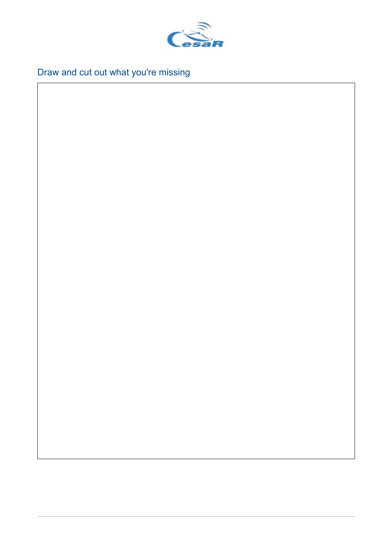

Draw and cut out what you're missing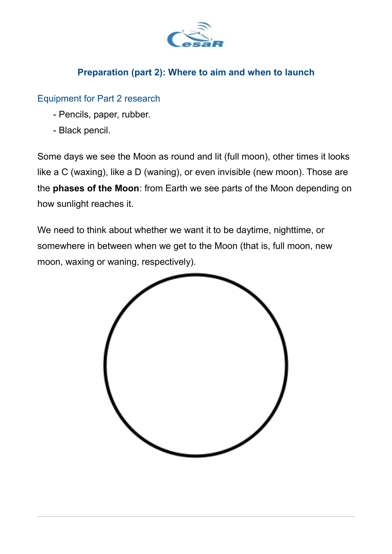

## **Preparation (part 2): Where to aim and when to launch**

### Equipment for Part 2 research

- Pencils, paper, rubber.
- Black pencil.

Some days we see the Moon as round and lit (full moon), other times it looks like a C (waxing), like a D (waning), or even invisible (new moon). Those are the **phases of the Moon**: from Earth we see parts of the Moon depending on how sunlight reaches it.

We need to think about whether we want it to be daytime, nighttime, or somewhere in between when we get to the Moon (that is, full moon, new moon, waxing or waning, respectively).

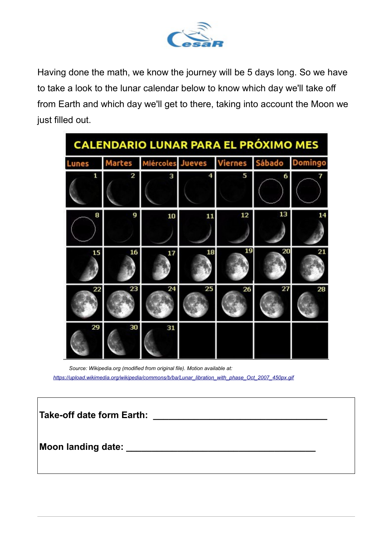

Having done the math, we know the journey will be 5 days long. So we have to take a look to the lunar calendar below to know which day we'll take off from Earth and which day we'll get to there, taking into account the Moon we just filled out.

| <b>CALENDARIO LUNAR PARA EL PRÓXIMO MES</b> |                |                                         |    |    |    |    |
|---------------------------------------------|----------------|-----------------------------------------|----|----|----|----|
| <b>Lunes</b>                                | <b>Martes</b>  | Miércoles Jueves Viernes Sábado Domingo |    |    |    |    |
| 1                                           | $\overline{2}$ | 3                                       |    | 5  | 6  | 7  |
| 8                                           | g              | 10                                      | 11 | 12 | 13 | 14 |
| 15                                          | 16             | 17                                      | 18 | 19 | 20 | 21 |
| 22                                          | 23             | 24                                      | 25 | 26 | 27 | 28 |
| 29                                          | 30             | 31                                      |    |    |    |    |

*Source: Wikipedia.org (modified from original file). Motion available at: [https://upload.wikimedia.org/wikipedia/commons/b/ba/Lunar\\_libration\\_with\\_phase\\_Oct\\_2007\\_450px.gif](https://upload.wikimedia.org/wikipedia/commons/b/ba/Lunar_libration_with_phase_Oct_2007_450px.gif)*

| Take-off date form Earth: |  |
|---------------------------|--|
| Moon landing date: _      |  |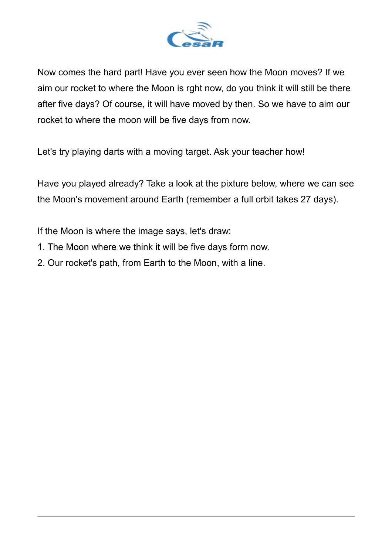

Now comes the hard part! Have you ever seen how the Moon moves? If we aim our rocket to where the Moon is rght now, do you think it will still be there after five days? Of course, it will have moved by then. So we have to aim our rocket to where the moon will be five days from now.

Let's try playing darts with a moving target. Ask your teacher how!

Have you played already? Take a look at the pixture below, where we can see the Moon's movement around Earth (remember a full orbit takes 27 days).

If the Moon is where the image says, let's draw:

- 1. The Moon where we think it will be five days form now.
- 2. Our rocket's path, from Earth to the Moon, with a line.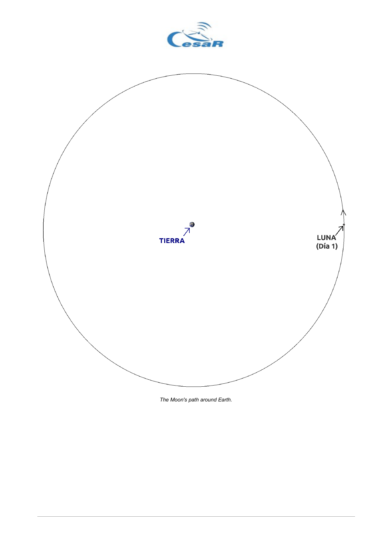

*The Moon's path around Earth.*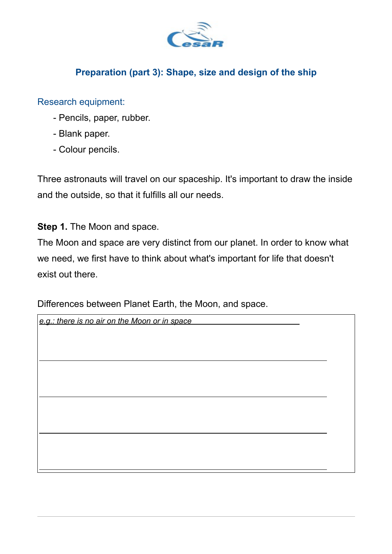

## **Preparation (part 3): Shape, size and design of the ship**

#### Research equipment:

- Pencils, paper, rubber.
- Blank paper.
- Colour pencils.

Three astronauts will travel on our spaceship. It's important to draw the inside and the outside, so that it fulfills all our needs.

**Step 1.** The Moon and space.

The Moon and space are very distinct from our planet. In order to know what we need, we first have to think about what's important for life that doesn't exist out there.

Differences between Planet Earth, the Moon, and space.

| e.g.: there is no air on the Moon or in space |  |
|-----------------------------------------------|--|
|                                               |  |
|                                               |  |
|                                               |  |
|                                               |  |
|                                               |  |
|                                               |  |
|                                               |  |
|                                               |  |
|                                               |  |
|                                               |  |
|                                               |  |
|                                               |  |
|                                               |  |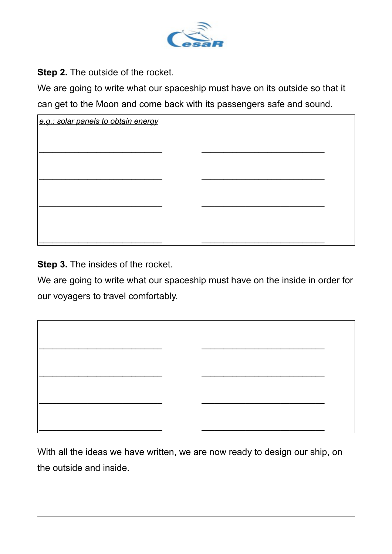

**Step 2.** The outside of the rocket.

We are going to write what our spaceship must have on its outside so that it can get to the Moon and come back with its passengers safe and sound.

| e.g.: solar panels to obtain energy |  |
|-------------------------------------|--|
|                                     |  |
|                                     |  |
|                                     |  |
|                                     |  |
|                                     |  |
|                                     |  |
|                                     |  |

**Step 3.** The insides of the rocket.

We are going to write what our spaceship must have on the inside in order for our voyagers to travel comfortably.

 $\mathcal{L}_\text{max}$  , and the contribution of the contribution of the contribution of the contribution of the contribution of the contribution of the contribution of the contribution of the contribution of the contribution of t

 $\overline{\phantom{a}}$  , and the contribution of the contribution of the contribution of the contribution of the contribution of the contribution of the contribution of the contribution of the contribution of the contribution of the

 $\mathcal{L}_\text{max}$  , and the contribution of the contribution of the contribution of the contribution of the contribution of the contribution of the contribution of the contribution of the contribution of the contribution of t

 $\overline{\phantom{a}}$  , and the contribution of the contribution of the contribution of the contribution of the contribution of the contribution of the contribution of the contribution of the contribution of the contribution of the

With all the ideas we have written, we are now ready to design our ship, on the outside and inside.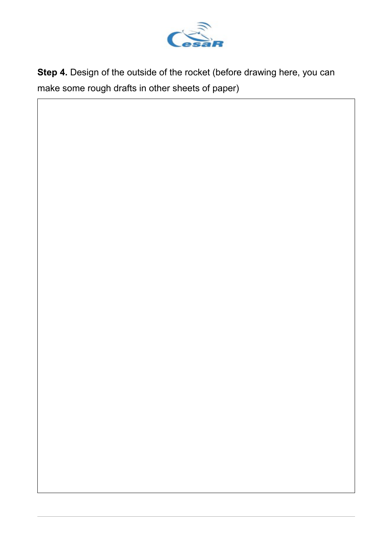

**Step 4.** Design of the outside of the rocket (before drawing here, you can make some rough drafts in other sheets of paper)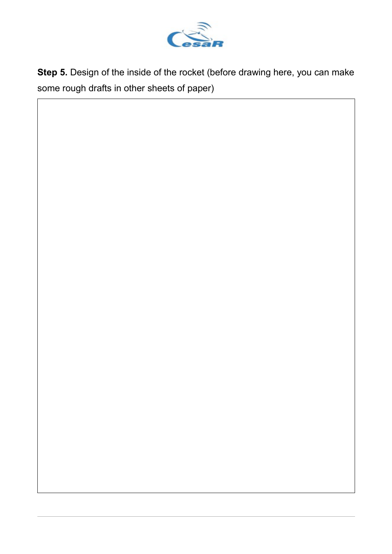

**Step 5.** Design of the inside of the rocket (before drawing here, you can make some rough drafts in other sheets of paper)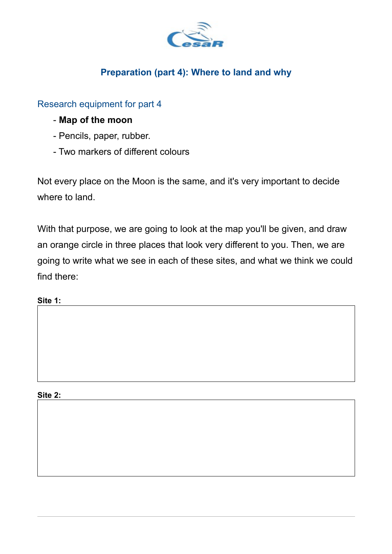

## **Preparation (part 4): Where to land and why**

Research equipment for part 4

- **Map of the moon**
- Pencils, paper, rubber.
- Two markers of different colours

Not every place on the Moon is the same, and it's very important to decide where to land.

With that purpose, we are going to look at the map you'll be given, and draw an orange circle in three places that look very different to you. Then, we are going to write what we see in each of these sites, and what we think we could find there:

**Site 1:**

**Site 2:**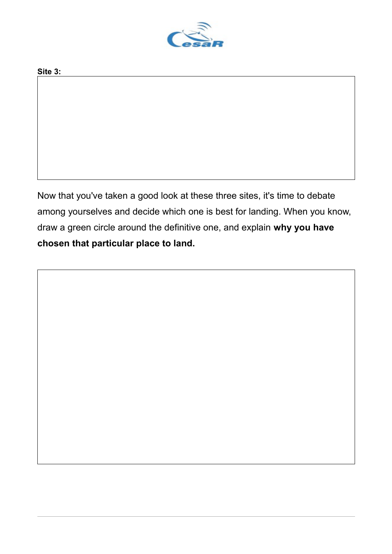

#### **Site 3:**

Now that you've taken a good look at these three sites, it's time to debate among yourselves and decide which one is best for landing. When you know, draw a green circle around the definitive one, and explain **why you have chosen that particular place to land.**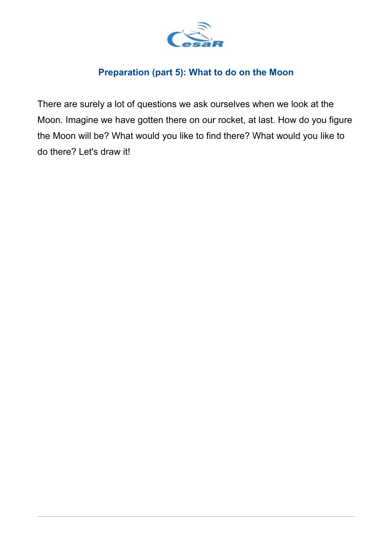

## **Preparation (part 5): What to do on the Moon**

There are surely a lot of questions we ask ourselves when we look at the Moon. Imagine we have gotten there on our rocket, at last. How do you figure the Moon will be? What would you like to find there? What would you like to do there? Let's draw it!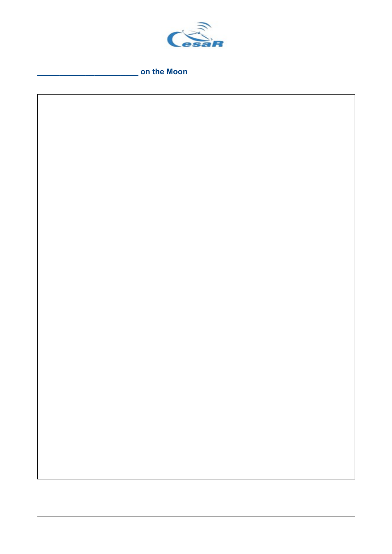

on the Moon